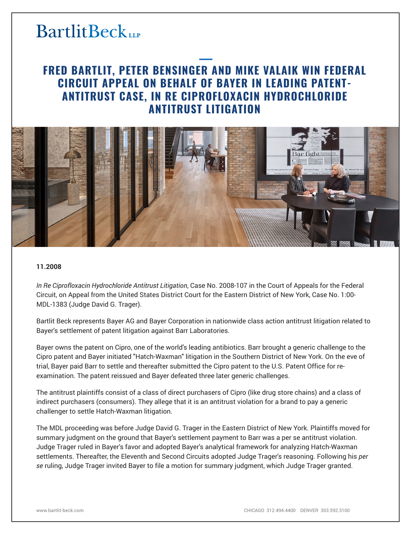## **BartlitBeck**LLP

### **FRED BARTLIT, PETER BENSINGER AND MIKE VALAIK WIN FEDERAL CIRCUIT APPEAL ON BEHALF OF BAYER IN LEADING PATENT-ANTITRUST CASE, IN RE CIPROFLOXACIN HYDROCHLORIDE ANTITRUST LITIGATION**



#### **11.2008**

*In Re Ciprofloxacin Hydrochloride Antitrust Litigation*, Case No. 2008-107 in the Court of Appeals for the Federal Circuit, on Appeal from the United States District Court for the Eastern District of New York, Case No. 1:00- MDL-1383 (Judge David G. Trager).

Bartlit Beck represents Bayer AG and Bayer Corporation in nationwide class action antitrust litigation related to Bayer's settlement of patent litigation against Barr Laboratories.

Bayer owns the patent on Cipro, one of the world's leading antibiotics. Barr brought a generic challenge to the Cipro patent and Bayer initiated "Hatch-Waxman" litigation in the Southern District of New York. On the eve of trial, Bayer paid Barr to settle and thereafter submitted the Cipro patent to the U.S. Patent Office for reexamination. The patent reissued and Bayer defeated three later generic challenges.

The antitrust plaintiffs consist of a class of direct purchasers of Cipro (like drug store chains) and a class of indirect purchasers (consumers). They allege that it is an antitrust violation for a brand to pay a generic challenger to settle Hatch-Waxman litigation.

The MDL proceeding was before Judge David G. Trager in the Eastern District of New York. Plaintiffs moved for summary judgment on the ground that Bayer's settlement payment to Barr was a per se antitrust violation. Judge Trager ruled in Bayer's favor and adopted Bayer's analytical framework for analyzing Hatch-Waxman settlements. Thereafter, the Eleventh and Second Circuits adopted Judge Trager's reasoning. Following his *per se* ruling, Judge Trager invited Bayer to file a motion for summary judgment, which Judge Trager granted.